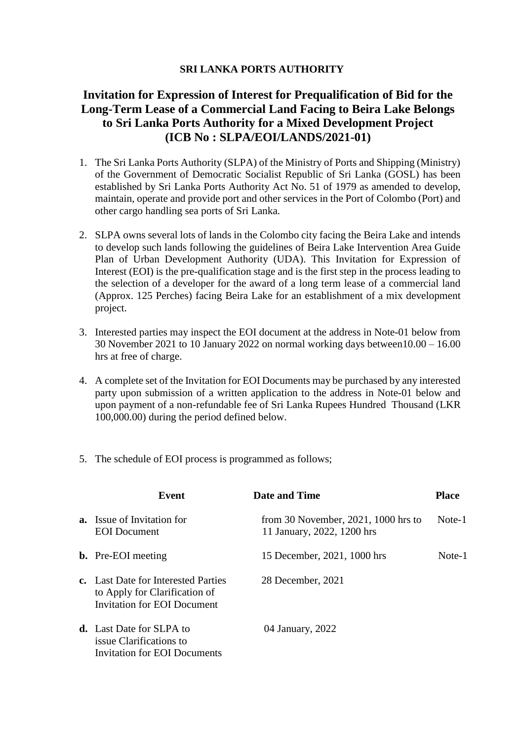## **SRI LANKA PORTS AUTHORITY**

## **Invitation for Expression of Interest for Prequalification of Bid for the Long-Term Lease of a Commercial Land Facing to Beira Lake Belongs to Sri Lanka Ports Authority for a Mixed Development Project (ICB No : SLPA/EOI/LANDS/2021-01)**

- 1. The Sri Lanka Ports Authority (SLPA) of the Ministry of Ports and Shipping (Ministry) of the Government of Democratic Socialist Republic of Sri Lanka (GOSL) has been established by Sri Lanka Ports Authority Act No. 51 of 1979 as amended to develop, maintain, operate and provide port and other services in the Port of Colombo (Port) and other cargo handling sea ports of Sri Lanka.
- 2. SLPA owns several lots of lands in the Colombo city facing the Beira Lake and intends to develop such lands following the guidelines of Beira Lake Intervention Area Guide Plan of Urban Development Authority (UDA). This Invitation for Expression of Interest (EOI) is the pre-qualification stage and is the first step in the process leading to the selection of a developer for the award of a long term lease of a commercial land (Approx. 125 Perches) facing Beira Lake for an establishment of a mix development project.
- 3. Interested parties may inspect the EOI document at the address in Note-01 below from 30 November 2021 to 10 January 2022 on normal working days between10.00 – 16.00 hrs at free of charge.
- 4. A complete set of the Invitation for EOI Documents may be purchased by any interested party upon submission of a written application to the address in Note-01 below and upon payment of a non-refundable fee of Sri Lanka Rupees Hundred Thousand (LKR 100,000.00) during the period defined below.
- 5. The schedule of EOI process is programmed as follows;

| Event                                                                                               | <b>Date and Time</b>                                                   | <b>Place</b> |
|-----------------------------------------------------------------------------------------------------|------------------------------------------------------------------------|--------------|
| <b>a.</b> Issue of Invitation for<br><b>EOI</b> Document                                            | from 30 November, $2021$ , $1000$ hrs to<br>11 January, 2022, 1200 hrs | Note-1       |
| <b>b.</b> Pre-EOI meeting                                                                           | 15 December, 2021, 1000 hrs                                            | Note-1       |
| c. Last Date for Interested Parties<br>to Apply for Clarification of<br>Invitation for EOI Document | 28 December, 2021                                                      |              |
| <b>d.</b> Last Date for SLPA to<br>issue Clarifications to<br>Invitation for EOI Documents          | 04 January, 2022                                                       |              |